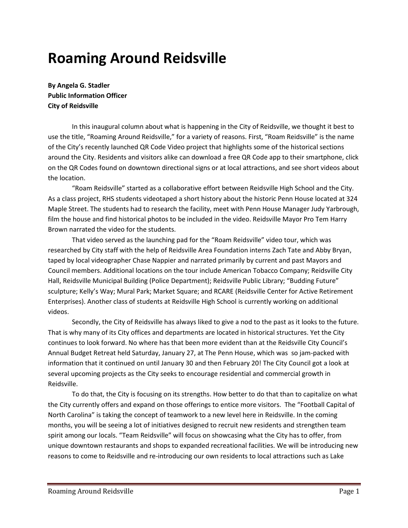# **Roaming Around Reidsville**

**By Angela G. Stadler Public Information Officer City of Reidsville**

In this inaugural column about what is happening in the City of Reidsville, we thought it best to use the title, "Roaming Around Reidsville," for a variety of reasons. First, "Roam Reidsville" is the name of the City's recently launched QR Code Video project that highlights some of the historical sections around the City. Residents and visitors alike can download a free QR Code app to their smartphone, click on the QR Codes found on downtown directional signs or at local attractions, and see short videos about the location.

"Roam Reidsville" started as a collaborative effort between Reidsville High School and the City. As a class project, RHS students videotaped a short history about the historic Penn House located at 324 Maple Street. The students had to research the facility, meet with Penn House Manager Judy Yarbrough, film the house and find historical photos to be included in the video. Reidsville Mayor Pro Tem Harry Brown narrated the video for the students.

That video served as the launching pad for the "Roam Reidsville" video tour, which was researched by City staff with the help of Reidsville Area Foundation interns Zach Tate and Abby Bryan, taped by local videographer Chase Nappier and narrated primarily by current and past Mayors and Council members. Additional locations on the tour include American Tobacco Company; Reidsville City Hall, Reidsville Municipal Building (Police Department); Reidsville Public Library; "Budding Future" sculpture; Kelly's Way; Mural Park; Market Square; and RCARE (Reidsville Center for Active Retirement Enterprises). Another class of students at Reidsville High School is currently working on additional videos.

Secondly, the City of Reidsville has always liked to give a nod to the past as it looks to the future. That is why many of its City offices and departments are located in historical structures. Yet the City continues to look forward. No where has that been more evident than at the Reidsville City Council's Annual Budget Retreat held Saturday, January 27, at The Penn House, which was so jam-packed with information that it continued on until January 30 and then February 20! The City Council got a look at several upcoming projects as the City seeks to encourage residential and commercial growth in Reidsville.

To do that, the City is focusing on its strengths. How better to do that than to capitalize on what the City currently offers and expand on those offerings to entice more visitors. The "Football Capital of North Carolina" is taking the concept of teamwork to a new level here in Reidsville. In the coming months, you will be seeing a lot of initiatives designed to recruit new residents and strengthen team spirit among our locals. "Team Reidsville" will focus on showcasing what the City has to offer, from unique downtown restaurants and shops to expanded recreational facilities. We will be introducing new reasons to come to Reidsville and re-introducing our own residents to local attractions such as Lake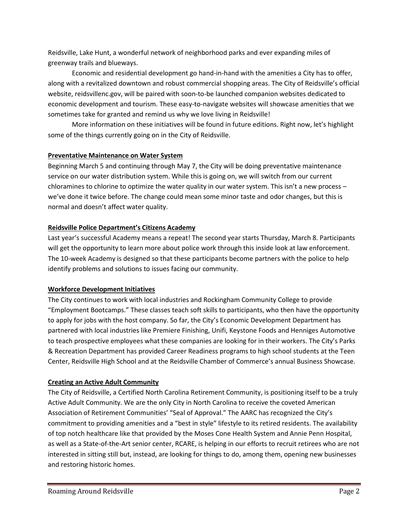Reidsville, Lake Hunt, a wonderful network of neighborhood parks and ever expanding miles of greenway trails and blueways.

Economic and residential development go hand-in-hand with the amenities a City has to offer, along with a revitalized downtown and robust commercial shopping areas. The City of Reidsville's official website, reidsvillenc.gov, will be paired with soon-to-be launched companion websites dedicated to economic development and tourism. These easy-to-navigate websites will showcase amenities that we sometimes take for granted and remind us why we love living in Reidsville!

More information on these initiatives will be found in future editions. Right now, let's highlight some of the things currently going on in the City of Reidsville.

## **Preventative Maintenance on Water System**

Beginning March 5 and continuing through May 7, the City will be doing preventative maintenance service on our water distribution system. While this is going on, we will switch from our current chloramines to chlorine to optimize the water quality in our water system. This isn't a new process – we've done it twice before. The change could mean some minor taste and odor changes, but this is normal and doesn't affect water quality.

## **Reidsville Police Department's Citizens Academy**

Last year's successful Academy means a repeat! The second year starts Thursday, March 8. Participants will get the opportunity to learn more about police work through this inside look at law enforcement. The 10-week Academy is designed so that these participants become partners with the police to help identify problems and solutions to issues facing our community.

# **Workforce Development Initiatives**

The City continues to work with local industries and Rockingham Community College to provide "Employment Bootcamps." These classes teach soft skills to participants, who then have the opportunity to apply for jobs with the host company. So far, the City's Economic Development Department has partnered with local industries like Premiere Finishing, Unifi, Keystone Foods and Henniges Automotive to teach prospective employees what these companies are looking for in their workers. The City's Parks & Recreation Department has provided Career Readiness programs to high school students at the Teen Center, Reidsville High School and at the Reidsville Chamber of Commerce's annual Business Showcase.

# **Creating an Active Adult Community**

The City of Reidsville, a Certified North Carolina Retirement Community, is positioning itself to be a truly Active Adult Community. We are the only City in North Carolina to receive the coveted American Association of Retirement Communities' "Seal of Approval." The AARC has recognized the City's commitment to providing amenities and a "best in style" lifestyle to its retired residents. The availability of top notch healthcare like that provided by the Moses Cone Health System and Annie Penn Hospital, as well as a State-of-the-Art senior center, RCARE, is helping in our efforts to recruit retirees who are not interested in sitting still but, instead, are looking for things to do, among them, opening new businesses and restoring historic homes.